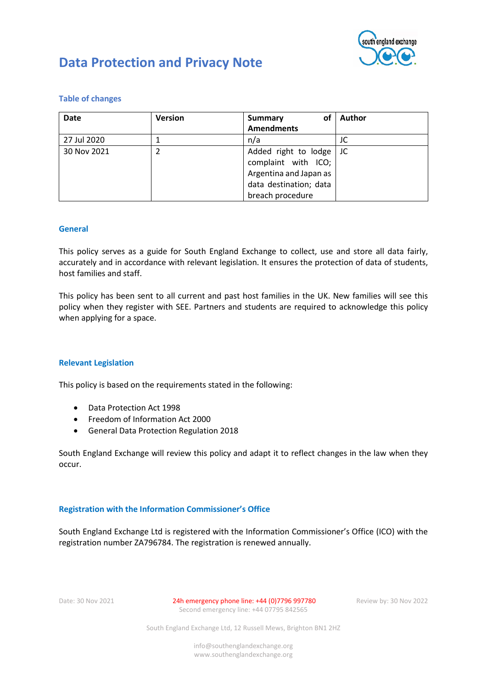

| <b>Version</b> | οf<br>Summary                                                                                   | <b>Author</b>    |
|----------------|-------------------------------------------------------------------------------------------------|------------------|
|                | <b>Amendments</b>                                                                               |                  |
|                | n/a                                                                                             | JC               |
| 2              | Added right to lodge<br>complaint with ICO;<br>Argentina and Japan as<br>data destination; data | JC               |
|                |                                                                                                 | breach procedure |

### **Table of changes**

### **General**

This policy serves as a guide for South England Exchange to collect, use and store all data fairly, accurately and in accordance with relevant legislation. It ensures the protection of data of students, host families and staff.

This policy has been sent to all current and past host families in the UK. New families will see this policy when they register with SEE. Partners and students are required to acknowledge this policy when applying for a space.

### **Relevant Legislation**

This policy is based on the requirements stated in the following:

- Data Protection Act 1998
- Freedom of Information Act 2000
- General Data Protection Regulation 2018

South England Exchange will review this policy and adapt it to reflect changes in the law when they occur.

### **Registration with the Information Commissioner's Office**

South England Exchange Ltd is registered with the Information Commissioner's Office (ICO) with the registration number ZA796784. The registration is renewed annually.

Date: 30 Nov 2021 24h emergency phone line: +44 (0)7796 997780 Review by: 30 Nov 2022 Second emergency line: +44 07795 842565

South England Exchange Ltd, 12 Russell Mews, Brighton BN1 2HZ

info@southenglandexchange.org www.southenglandexchange.org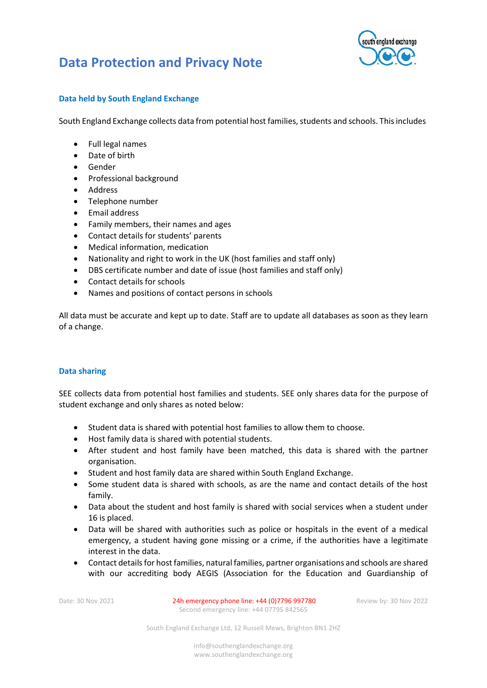

### **Data held by South England Exchange**

South England Exchange collects data from potential host families, students and schools. This includes

- Full legal names
- Date of birth
- Gender
- Professional background
- Address
- Telephone number
- Email address
- Family members, their names and ages
- Contact details for students' parents
- Medical information, medication
- Nationality and right to work in the UK (host families and staff only)
- DBS certificate number and date of issue (host families and staff only)
- Contact details for schools
- Names and positions of contact persons in schools

All data must be accurate and kept up to date. Staff are to update all databases as soon as they learn of a change.

### **Data sharing**

SEE collects data from potential host families and students. SEE only shares data for the purpose of student exchange and only shares as noted below:

- Student data is shared with potential host families to allow them to choose.
- Host family data is shared with potential students.
- After student and host family have been matched, this data is shared with the partner organisation.
- Student and host family data are shared within South England Exchange.
- Some student data is shared with schools, as are the name and contact details of the host family.
- Data about the student and host family is shared with social services when a student under 16 is placed.
- Data will be shared with authorities such as police or hospitals in the event of a medical emergency, a student having gone missing or a crime, if the authorities have a legitimate interest in the data.
- Contact details for host families, natural families, partner organisations and schools are shared with our accrediting body AEGIS (Association for the Education and Guardianship of

Date: 30 Nov 2021 24h emergency phone line: +44 (0) 7796 997780 Review by: 30 Nov 2022 Second emergency line: +44 07795 842565

South England Exchange Ltd, 12 Russell Mews, Brighton BN1 2HZ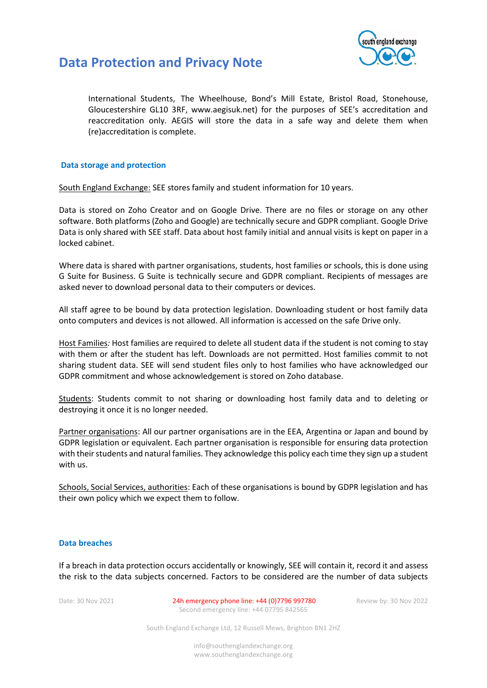

International Students, The Wheelhouse, Bond's Mill Estate, Bristol Road, Stonehouse, Gloucestershire GL10 3RF, www.aegisuk.net) for the purposes of SEE's accreditation and reaccreditation only. AEGIS will store the data in a safe way and delete them when (re)accreditation is complete.

#### **Data storage and protection**

South England Exchange: SEE stores family and student information for 10 years.

Data is stored on Zoho Creator and on Google Drive. There are no files or storage on any other software. Both platforms (Zoho and Google) are technically secure and GDPR compliant. Google Drive Data is only shared with SEE staff. Data about host family initial and annual visits is kept on paper in a locked cabinet.

Where data is shared with partner organisations, students, host families or schools, this is done using G Suite for Business. G Suite is technically secure and GDPR compliant. Recipients of messages are asked never to download personal data to their computers or devices.

All staff agree to be bound by data protection legislation. Downloading student or host family data onto computers and devices is not allowed. All information is accessed on the safe Drive only.

Host Families*:* Host families are required to delete all student data if the student is not coming to stay with them or after the student has left. Downloads are not permitted. Host families commit to not sharing student data. SEE will send student files only to host families who have acknowledged our GDPR commitment and whose acknowledgement is stored on Zoho database.

Students: Students commit to not sharing or downloading host family data and to deleting or destroying it once it is no longer needed.

Partner organisations: All our partner organisations are in the EEA, Argentina or Japan and bound by GDPR legislation or equivalent. Each partner organisation is responsible for ensuring data protection with their students and natural families. They acknowledge this policy each time they sign up a student with us.

Schools, Social Services, authorities: Each of these organisations is bound by GDPR legislation and has their own policy which we expect them to follow.

#### **Data breaches**

If a breach in data protection occurs accidentally or knowingly, SEE will contain it, record it and assess the risk to the data subjects concerned. Factors to be considered are the number of data subjects

Date: 30 Nov 2021 24h emergency phone line: +44 (0) 7796 997780 Review by: 30 Nov 2022 Second emergency line: +44 07795 842565

South England Exchange Ltd, 12 Russell Mews, Brighton BN1 2HZ

info@southenglandexchange.org www.southenglandexchange.org